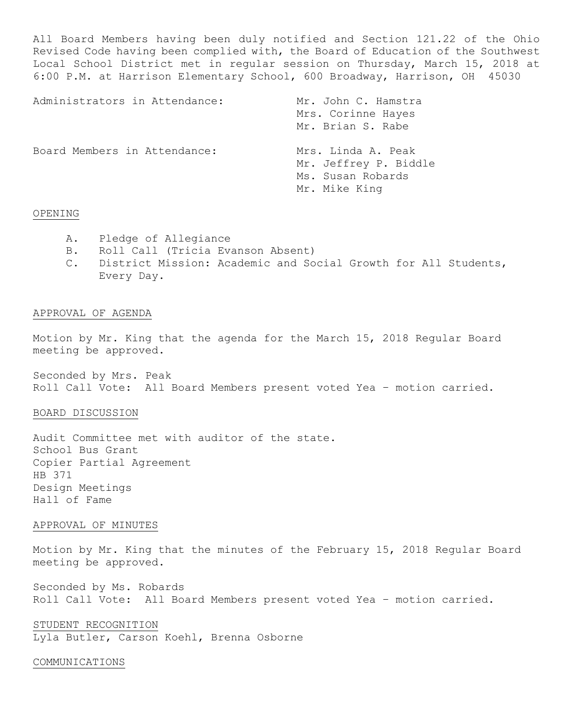All Board Members having been duly notified and Section 121.22 of the Ohio Revised Code having been complied with, the Board of Education of the Southwest Local School District met in regular session on Thursday, March 15, 2018 at 6:00 P.M. at Harrison Elementary School, 600 Broadway, Harrison, OH 45030

| Administrators in Attendance: | Mr. John C. Hamstra<br>Mrs. Corinne Hayes<br>Mr. Brian S. Rabe                    |
|-------------------------------|-----------------------------------------------------------------------------------|
| Board Members in Attendance:  | Mrs. Linda A. Peak<br>Mr. Jeffrey P. Biddle<br>Ms. Susan Robards<br>Mr. Mike King |

#### OPENING

- A. Pledge of Allegiance
- B. Roll Call (Tricia Evanson Absent)
- C. District Mission: Academic and Social Growth for All Students, Every Day.

## APPROVAL OF AGENDA

Motion by Mr. King that the agenda for the March 15, 2018 Regular Board meeting be approved.

Seconded by Mrs. Peak Roll Call Vote: All Board Members present voted Yea – motion carried.

### BOARD DISCUSSION

Audit Committee met with auditor of the state. School Bus Grant Copier Partial Agreement HB 371 Design Meetings Hall of Fame

## APPROVAL OF MINUTES

Motion by Mr. King that the minutes of the February 15, 2018 Regular Board meeting be approved.

Seconded by Ms. Robards Roll Call Vote: All Board Members present voted Yea – motion carried.

STUDENT RECOGNITION Lyla Butler, Carson Koehl, Brenna Osborne

#### COMMUNICATIONS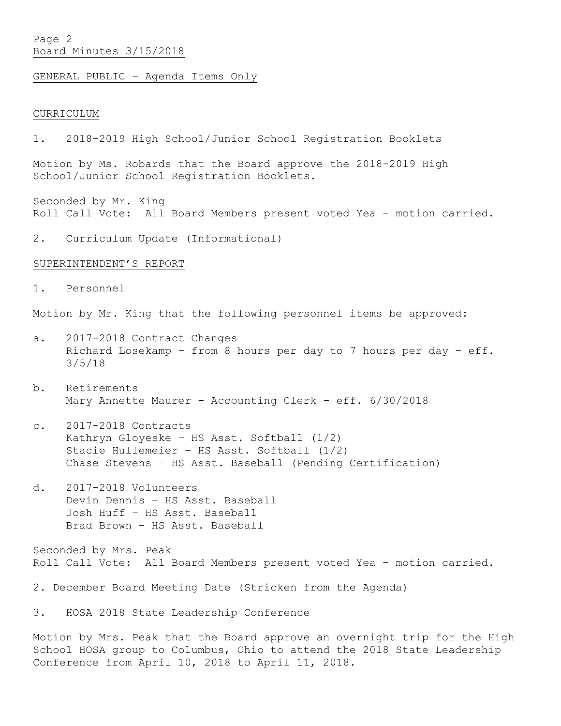# Page 2 Board Minutes 3/15/2018

GENERAL PUBLIC – Agenda Items Only

#### CURRICULUM

1. 2018-2019 High School/Junior School Registration Booklets

Motion by Ms. Robards that the Board approve the 2018-2019 High School/Junior School Registration Booklets.

Seconded by Mr. King Roll Call Vote: All Board Members present voted Yea – motion carried.

2. Curriculum Update (Informational)

#### SUPERINTENDENT'S REPORT

1. Personnel

Motion by Mr. King that the following personnel items be approved:

- a. 2017-2018 Contract Changes Richard Losekamp – from 8 hours per day to 7 hours per day – eff. 3/5/18
- b. Retirements Mary Annette Maurer - Accounting Clerk - eff. 6/30/2018
- c. 2017-2018 Contracts Kathryn Gloyeske – HS Asst. Softball (1/2) Stacie Hullemeier – HS Asst. Softball (1/2) Chase Stevens – HS Asst. Baseball (Pending Certification)
- d. 2017-2018 Volunteers Devin Dennis – HS Asst. Baseball Josh Huff – HS Asst. Baseball Brad Brown – HS Asst. Baseball

Seconded by Mrs. Peak Roll Call Vote: All Board Members present voted Yea – motion carried.

2. December Board Meeting Date (Stricken from the Agenda)

3. HOSA 2018 State Leadership Conference

Motion by Mrs. Peak that the Board approve an overnight trip for the High School HOSA group to Columbus, Ohio to attend the 2018 State Leadership Conference from April 10, 2018 to April 11, 2018.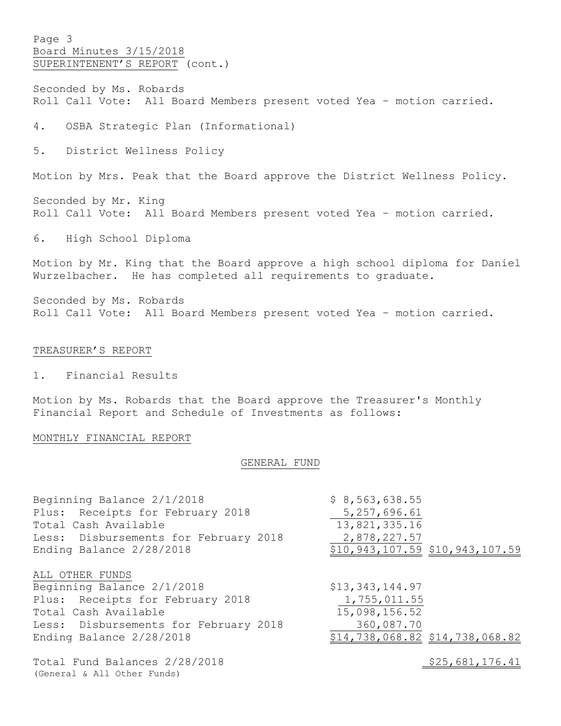Page 3 Board Minutes 3/15/2018 SUPERINTENENT'S REPORT (cont.)

Seconded by Ms. Robards Roll Call Vote: All Board Members present voted Yea – motion carried.

4. OSBA Strategic Plan (Informational)

5. District Wellness Policy

Motion by Mrs. Peak that the Board approve the District Wellness Policy.

Seconded by Mr. King Roll Call Vote: All Board Members present voted Yea – motion carried.

6. High School Diploma

Motion by Mr. King that the Board approve a high school diploma for Daniel Wurzelbacher. He has completed all requirements to graduate.

Seconded by Ms. Robards Roll Call Vote: All Board Members present voted Yea – motion carried.

#### TREASURER'S REPORT

1. Financial Results

Motion by Ms. Robards that the Board approve the Treasurer's Monthly Financial Report and Schedule of Investments as follows:

### MONTHLY FINANCIAL REPORT

#### GENERAL FUND

| Beginning Balance 2/1/2018                                   | \$8,563,638.55                    |
|--------------------------------------------------------------|-----------------------------------|
| Plus: Receipts for February 2018                             | 5, 257, 696.61                    |
| Total Cash Available                                         | 13,821,335.16                     |
| Less: Disbursements for February 2018                        | 2,878,227.57                      |
| Ending Balance 2/28/2018                                     | \$10,943,107.59 \$10,943,107.59   |
| ALL OTHER FUNDS                                              |                                   |
| Beginning Balance 2/1/2018                                   | \$13,343,144.97                   |
| Plus: Receipts for February 2018                             | 1,755,011.55                      |
| Total Cash Available                                         | 15,098,156.52                     |
| Less: Disbursements for February 2018                        | 360,087.70                        |
| Ending Balance 2/28/2018                                     | $$14,738,068.82$ $$14,738,068.82$ |
| Total Fund Balances 2/28/2018<br>(General & All Other Funds) | \$25,681,176.41                   |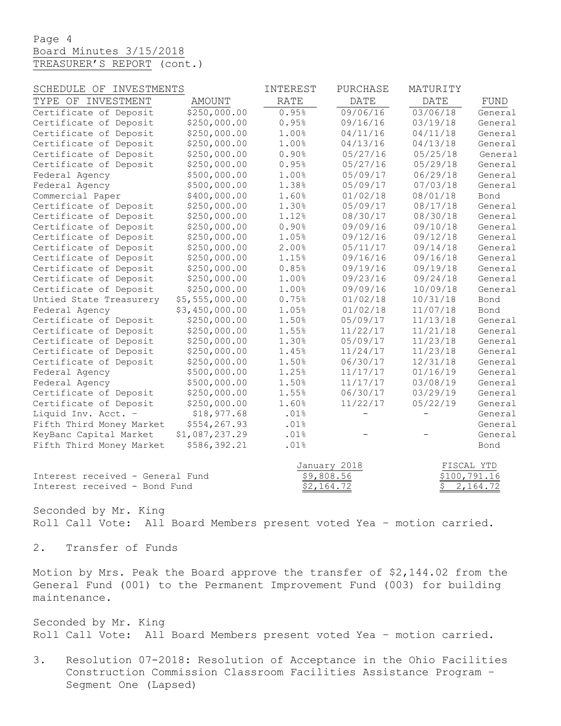Page 4 Board Minutes 3/15/2018 TREASURER'S REPORT (cont.)

| SCHEDULE OF INVESTMENTS          |                | INTEREST    | PURCHASE                   | MATURITY                 |                            |  |
|----------------------------------|----------------|-------------|----------------------------|--------------------------|----------------------------|--|
| TYPE OF INVESTMENT               | <b>AMOUNT</b>  | <b>RATE</b> | <b>DATE</b>                | <b>DATE</b>              | <b>FUND</b>                |  |
| Certificate of Deposit           | \$250,000.00   | 0.95%       | 09/06/16                   | 03/06/18                 | General                    |  |
| Certificate of Deposit           | \$250,000.00   | 0.95%       | 09/16/16                   | 03/19/18                 | General                    |  |
| Certificate of Deposit           | \$250,000.00   | 1.00%       | 04/11/16                   | 04/11/18                 | General                    |  |
| Certificate of Deposit           | \$250,000.00   | 1.00%       | 04/13/16                   | 04/13/18                 | General                    |  |
| Certificate of Deposit           | \$250,000.00   | 0.90%       | 05/27/16                   | 05/25/18                 | General                    |  |
| Certificate of Deposit           | \$250,000.00   | 0.95%       | 05/27/16                   | 05/29/18                 | General                    |  |
| Federal Agency                   | \$500,000.00   | 1.00%       | 05/09/17                   | 06/29/18                 | General                    |  |
| Federal Agency                   | \$500,000.00   | 1.38%       | 05/09/17                   | 07/03/18                 | General                    |  |
| Commercial Paper                 | \$400,000.00   | 1.60%       | 01/02/18                   | 08/01/18                 | Bond                       |  |
| Certificate of Deposit           | \$250,000.00   | 1.30%       | 05/09/17                   | 08/17/18                 | General                    |  |
| Certificate of Deposit           | \$250,000.00   | 1.12%       | 08/30/17                   | 08/30/18                 | General                    |  |
| Certificate of Deposit           | \$250,000.00   | 0.90%       | 09/09/16                   | 09/10/18                 | General                    |  |
| Certificate of Deposit           | \$250,000.00   | 1.05%       | 09/12/16                   | 09/12/18                 | General                    |  |
| Certificate of Deposit           | \$250,000.00   | 2.00%       | 05/11/17                   | 09/14/18                 | General                    |  |
| Certificate of Deposit           | \$250,000.00   | 1.15%       | 09/16/16                   | 09/16/18                 | General                    |  |
| Certificate of Deposit           | \$250,000.00   | 0.85%       | 09/19/16                   | 09/19/18                 | General                    |  |
| Certificate of Deposit           | \$250,000.00   | 1.00%       | 09/23/16                   | 09/24/18                 | General                    |  |
| Certificate of Deposit           | \$250,000.00   | 1.00%       | 09/09/16                   | 10/09/18                 | General                    |  |
| Untied State Treasurery          | \$5,555,000.00 | 0.75%       | 01/02/18                   | 10/31/18                 | Bond                       |  |
| Federal Agency                   | \$3,450,000.00 | 1.05%       | 01/02/18                   | 11/07/18                 | Bond                       |  |
| Certificate of Deposit           | \$250,000.00   | 1.50%       | 05/09/17                   | 11/13/18                 | General                    |  |
| Certificate of Deposit           | \$250,000.00   | 1.55%       | 11/22/17                   | 11/21/18                 | General                    |  |
| Certificate of Deposit           | \$250,000.00   | 1.30%       | 05/09/17                   | 11/23/18                 | General                    |  |
| Certificate of Deposit           | \$250,000.00   | 1.45%       | 11/24/17                   | 11/23/18                 | General                    |  |
| Certificate of Deposit           | \$250,000.00   | 1.50%       | 06/30/17                   | 12/31/18                 | General                    |  |
| Federal Agency                   | \$500,000.00   | 1.25%       | 11/17/17                   | 01/16/19                 | General                    |  |
| Federal Agency                   | \$500,000.00   | 1.50%       | 11/17/17                   | 03/08/19                 | General                    |  |
| Certificate of Deposit           | \$250,000.00   | 1.55%       | 06/30/17                   | 03/29/19                 | General                    |  |
| Certificate of Deposit           | \$250,000.00   | 1.60%       | 11/22/17                   | 05/22/19                 | General                    |  |
| Liquid Inv. Acct. -              | \$18,977.68    | .01%        |                            | $\overline{\phantom{0}}$ | General                    |  |
| Fifth Third Money Market         | \$554,267.93   | .01%        |                            |                          | General                    |  |
| KeyBanc Capital Market           | \$1,087,237.29 | .01%        |                            |                          | General                    |  |
| Fifth Third Money Market         | \$586,392.21   | .01%        |                            |                          | Bond                       |  |
| Interest received - General Fund |                |             | January 2018<br>\$9,808.56 |                          | FISCAL YTD<br>\$100,791.16 |  |
| Interest received - Bond Fund    |                |             | \$2,164.72                 | \$                       | 2,164.72                   |  |

Seconded by Mr. King Roll Call Vote: All Board Members present voted Yea – motion carried.

2. Transfer of Funds

Motion by Mrs. Peak the Board approve the transfer of \$2,144.02 from the General Fund (001) to the Permanent Improvement Fund (003) for building maintenance.

Seconded by Mr. King Roll Call Vote: All Board Members present voted Yea – motion carried.

3. Resolution 07-2018: Resolution of Acceptance in the Ohio Facilities Construction Commission Classroom Facilities Assistance Program – Segment One (Lapsed)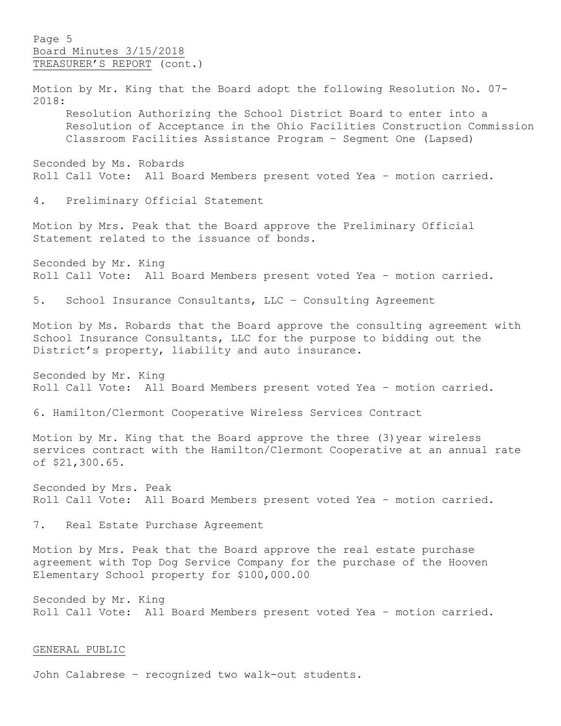Page 5 Board Minutes 3/15/2018 TREASURER'S REPORT (cont.)

Motion by Mr. King that the Board adopt the following Resolution No. 07- 2018: Resolution Authorizing the School District Board to enter into a Resolution of Acceptance in the Ohio Facilities Construction Commission Classroom Facilities Assistance Program – Segment One (Lapsed) Seconded by Ms. Robards Roll Call Vote: All Board Members present voted Yea – motion carried. 4. Preliminary Official Statement Motion by Mrs. Peak that the Board approve the Preliminary Official Statement related to the issuance of bonds. Seconded by Mr. King Roll Call Vote: All Board Members present voted Yea – motion carried. 5. School Insurance Consultants, LLC – Consulting Agreement Motion by Ms. Robards that the Board approve the consulting agreement with School Insurance Consultants, LLC for the purpose to bidding out the District's property, liability and auto insurance. Seconded by Mr. King Roll Call Vote: All Board Members present voted Yea – motion carried. 6. Hamilton/Clermont Cooperative Wireless Services Contract Motion by Mr. King that the Board approve the three (3)year wireless services contract with the Hamilton/Clermont Cooperative at an annual rate of \$21,300.65. Seconded by Mrs. Peak Roll Call Vote: All Board Members present voted Yea – motion carried. 7. Real Estate Purchase Agreement Motion by Mrs. Peak that the Board approve the real estate purchase agreement with Top Dog Service Company for the purchase of the Hooven Elementary School property for \$100,000.00 Seconded by Mr. King

# Roll Call Vote: All Board Members present voted Yea – motion carried.

## GENERAL PUBLIC

John Calabrese – recognized two walk-out students.